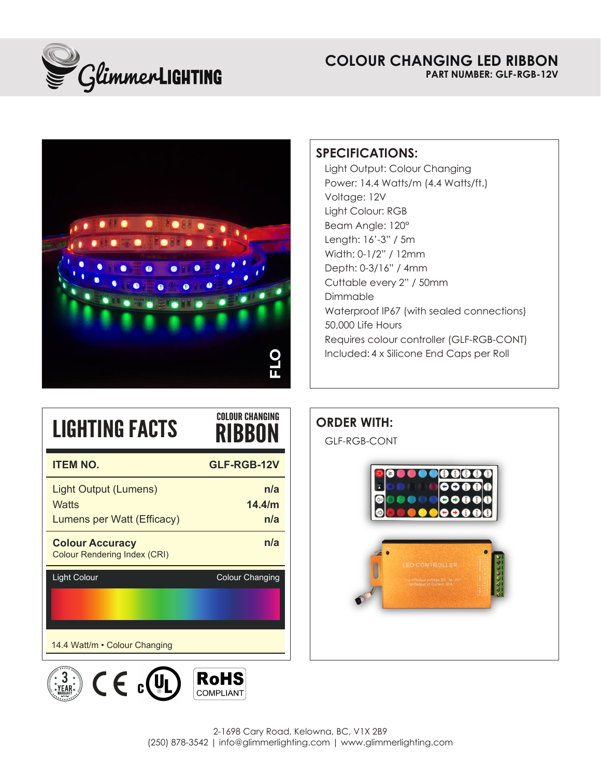

## **COLOUR CHANGING LED RIBBON PART NUMBER: GLF-RGB-12V**



# **SPECIFICATIONS:**

Included: 4 x Silicone End Caps per Roll Light Output: Colour Changing Power: 14.4 Watts/m (4.4 Watts/ft.) Voltage: 12V Light Colour: RGB Beam Angle: 120° Length: 16'-3" / 5m Width: 0-1/2" / 12mm Depth: 0-3/16" / 4mm Cuttable every 2" / 50mm Dimmable Waterproof IP67 (with sealed connections) 50,000 Life Hours Requires colour controller (GLF-RGB-CONT)

| <b>LIGHTING FACTS</b>                                               | <b>COLOUR CHANGING</b><br>RIBBON |
|---------------------------------------------------------------------|----------------------------------|
| <b>ITEM NO.</b>                                                     | <b>GLF-RGB-12V</b>               |
| <b>Light Output (Lumens)</b><br>Watts<br>Lumens per Watt (Efficacy) | n/a<br>14.4/m<br>n/a             |
| <b>Colour Accuracy</b><br><b>Colour Rendering Index (CRI)</b>       | n/a                              |
| <b>Light Colour</b>                                                 | <b>Colour Changing</b>           |
| 14.4 Watt/m • Colour Changing                                       |                                  |